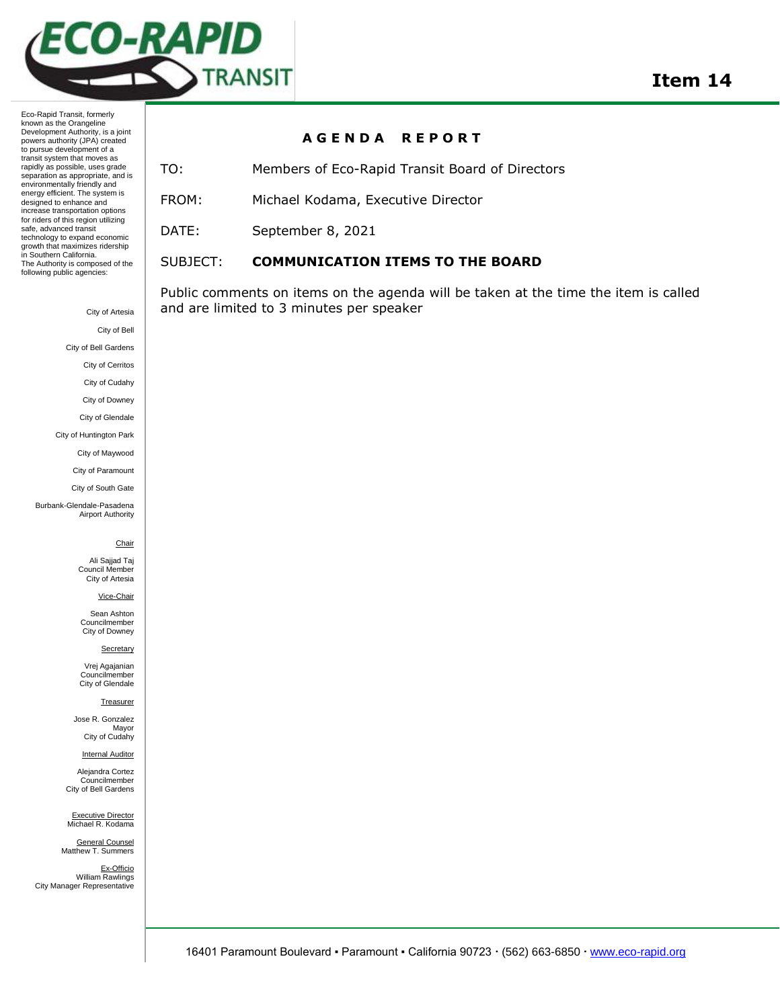

Eco-Rapid Transit, formerly known as the Orangeline Development Authority, is a joint powers authority (JPA) created to pursue development of a transit system that moves as rapidly as possible, uses grade separation as appropriate, and is environmentally friendly and energy efficient. The system is designed to enhance and increase transportation options for riders of this region utilizing safe, advanced transit technology to expand economic growth that maximizes ridership in Southern California. The Authority is composed of the following public agencies:

## **A G E N D A R E P O R T**

TO: Members of Eco-Rapid Transit Board of Directors FROM: Michael Kodama, Executive Director

DATE: September 8, 2021

## SUBJECT: **COMMUNICATION ITEMS TO THE BOARD**

Public comments on items on the agenda will be taken at the time the item is called and are limited to 3 minutes per speaker

City of Bell City of Bell Gardens City of Cerritos City of Cudahy City of Downey City of Glendale City of Huntington Park City of Maywood City of Paramount City of South Gate Burbank-Glendale-Pasadena Airport Authority **Chair** Ali Sajjad Taj Council Member City of Artesia Vice-Chair Sean Ashton Councilmember City of Downey **Secretary** Vrej Agajanian Councilmember City of Glendale **Treasurer** Jose R. Gonzalez Mayor City of Cudahy **Internal Auditor** 

City of Artesia

Alejandra Cortez Councilmember City of Bell Gardens

Executive Director<br>Michael R. Kodama

General Counsel Matthew T. Summers

Ex-Officio William Rawlings City Manager Representative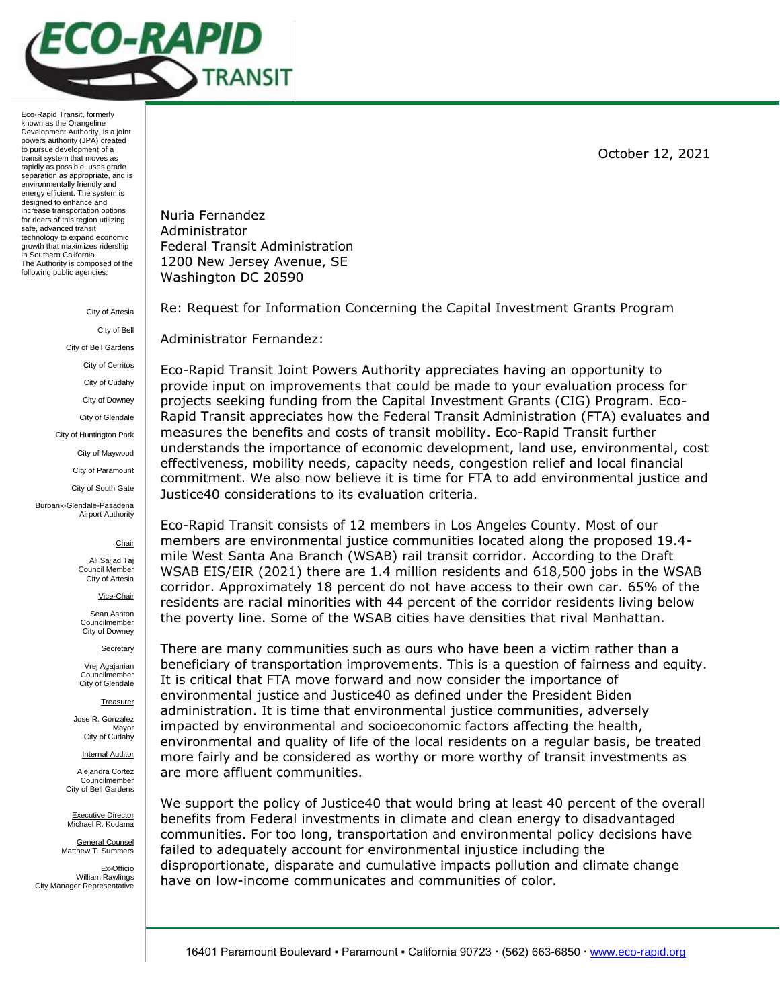

Eco-Rapid Transit, formerly known as the Orangeline Development Authority, is a joint powers authority (JPA) created to pursue development of a transit system that moves as rapidly as possible, uses grade separation as appropriate, and is environmentally friendly and energy efficient. The system is designed to enhance and increase transportation options for riders of this region utilizing safe, advanced transit technology to expand economic growth that maximizes ridership in Southern California. The Authority is composed of the following public agencies:

> City of Artesia City of Bell City of Bell Gardens City of Cerritos City of Cudahy City of Downey City of Glendale City of Huntington Park City of Maywood City of Paramount City of South Gate Burbank-Glendale-Pasadena Airport Authority

## **Chair**

Ali Sajjad Taj Council Member City of Artesia

Vice-Chair

Sean Ashton Councilmember City of Downey

**Secretary** 

Vrej Agajanian Councilmember City of Glendale

**Treasurer** 

Jose R. Gonzalez Mayor City of Cudahy

**Internal Auditor** 

Alejandra Cortez Councilmember City of Bell Gardens

Executive Director Michael R. Kodama

General Counsel Matthew T. Summers

Ex-Officio William Rawlings City Manager Representative

October 12, 2021

Nuria Fernandez Administrator Federal Transit Administration 1200 New Jersey Avenue, SE Washington DC 20590

Re: Request for Information Concerning the Capital Investment Grants Program

Administrator Fernandez:

Eco-Rapid Transit Joint Powers Authority appreciates having an opportunity to provide input on improvements that could be made to your evaluation process for projects seeking funding from the Capital Investment Grants (CIG) Program. Eco-Rapid Transit appreciates how the Federal Transit Administration (FTA) evaluates and measures the benefits and costs of transit mobility. Eco-Rapid Transit further understands the importance of economic development, land use, environmental, cost effectiveness, mobility needs, capacity needs, congestion relief and local financial commitment. We also now believe it is time for FTA to add environmental justice and Justice40 considerations to its evaluation criteria.

Eco-Rapid Transit consists of 12 members in Los Angeles County. Most of our members are environmental justice communities located along the proposed 19.4 mile West Santa Ana Branch (WSAB) rail transit corridor. According to the Draft WSAB EIS/EIR (2021) there are 1.4 million residents and 618,500 jobs in the WSAB corridor. Approximately 18 percent do not have access to their own car. 65% of the residents are racial minorities with 44 percent of the corridor residents living below the poverty line. Some of the WSAB cities have densities that rival Manhattan.

There are many communities such as ours who have been a victim rather than a beneficiary of transportation improvements. This is a question of fairness and equity. It is critical that FTA move forward and now consider the importance of environmental justice and Justice40 as defined under the President Biden administration. It is time that environmental justice communities, adversely impacted by environmental and socioeconomic factors affecting the health, environmental and quality of life of the local residents on a regular basis, be treated more fairly and be considered as worthy or more worthy of transit investments as are more affluent communities.

We support the policy of Justice40 that would bring at least 40 percent of the overall benefits from Federal investments in climate and clean energy to disadvantaged communities. For too long, transportation and environmental policy decisions have failed to adequately account for environmental injustice including the disproportionate, disparate and cumulative impacts pollution and climate change have on low-income communicates and communities of color.